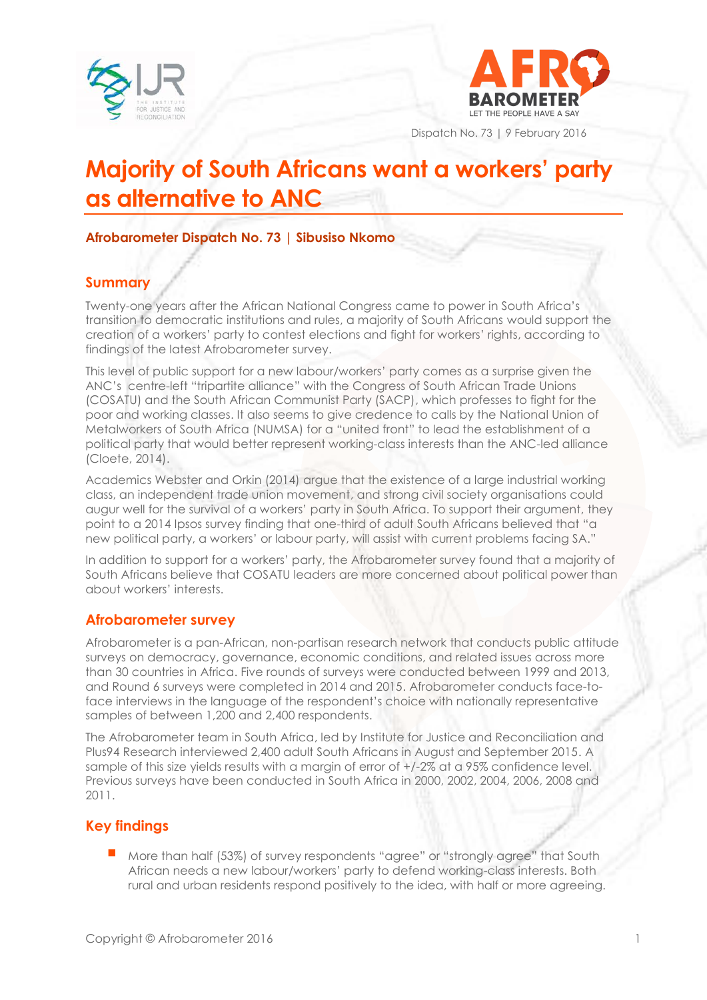



Dispatch No. 73 | 9 February 2016

# **Majority of South Africans want a workers' party as alternative to ANC**

## **Afrobarometer Dispatch No. 73 | Sibusiso Nkomo**

## **Summary**

Twenty-one years after the African National Congress came to power in South Africa's transition to democratic institutions and rules, a majority of South Africans would support the creation of a workers' party to contest elections and fight for workers' rights, according to findings of the latest Afrobarometer survey.

This level of public support for a new labour/workers' party comes as a surprise given the ANC's centre-left "tripartite alliance" with the Congress of South African Trade Unions (COSATU) and the South African Communist Party (SACP), which professes to fight for the poor and working classes. It also seems to give credence to calls by the National Union of Metalworkers of South Africa (NUMSA) for a "united front" to lead the establishment of a political party that would better represent working-class interests than the ANC-led alliance (Cloete, 2014).

Academics Webster and Orkin (2014) argue that the existence of a large industrial working class, an independent trade union movement, and strong civil society organisations could augur well for the survival of a workers' party in South Africa. To support their argument, they point to a 2014 Ipsos survey finding that one-third of adult South Africans believed that "a new political party, a workers' or labour party, will assist with current problems facing SA."

In addition to support for a workers' party, the Afrobarometer survey found that a majority of South Africans believe that COSATU leaders are more concerned about political power than about workers' interests.

## **Afrobarometer survey**

Afrobarometer is a pan-African, non-partisan research network that conducts public attitude surveys on democracy, governance, economic conditions, and related issues across more than 30 countries in Africa. Five rounds of surveys were conducted between 1999 and 2013, and Round 6 surveys were completed in 2014 and 2015. Afrobarometer conducts face-toface interviews in the language of the respondent's choice with nationally representative samples of between 1,200 and 2,400 respondents.

The Afrobarometer team in South Africa, led by Institute for Justice and Reconciliation and Plus94 Research interviewed 2,400 adult South Africans in August and September 2015. A sample of this size yields results with a margin of error of +/-2% at a 95% confidence level. Previous surveys have been conducted in South Africa in 2000, 2002, 2004, 2006, 2008 and 2011.

## **Key findings**

 More than half (53%) of survey respondents "agree" or "strongly agree" that South African needs a new labour/workers' party to defend working-class interests. Both rural and urban residents respond positively to the idea, with half or more agreeing.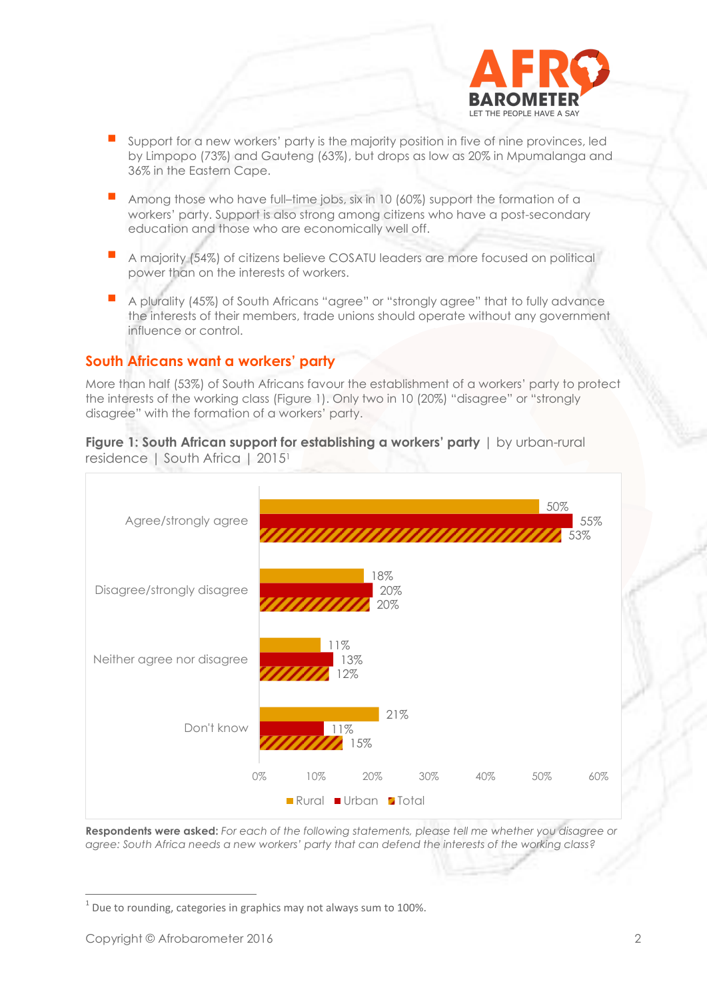

- Support for a new workers' party is the majority position in five of nine provinces, led by Limpopo (73%) and Gauteng (63%), but drops as low as 20% in Mpumalanga and 36% in the Eastern Cape.
- Among those who have full–time jobs, six in 10 (60%) support the formation of a workers' party. Support is also strong among citizens who have a post-secondary education and those who are economically well off.
- <sup>A</sup> majority (54%) of citizens believe COSATU leaders are more focused on political power than on the interests of workers.
- A plurality (45%) of South Africans "agree" or "strongly agree" that to fully advance the interests of their members, trade unions should operate without any government influence or control.

### **South Africans want a workers' party**

More than half (53%) of South Africans favour the establishment of a workers' party to protect the interests of the working class (Figure 1). Only two in 10 (20%) "disagree" or "strongly disagree" with the formation of a workers' party.

**Figure 1: South African support for establishing a workers' party**  $|$  by urban-rural residence | South Africa | 2015<sup>1</sup>



**Respondents were asked:** *For each of the following statements, please tell me whether you disagree or agree: South Africa needs a new workers' party that can defend the interests of the working class?*

 $^1$  Due to rounding, categories in graphics may not always sum to 100%.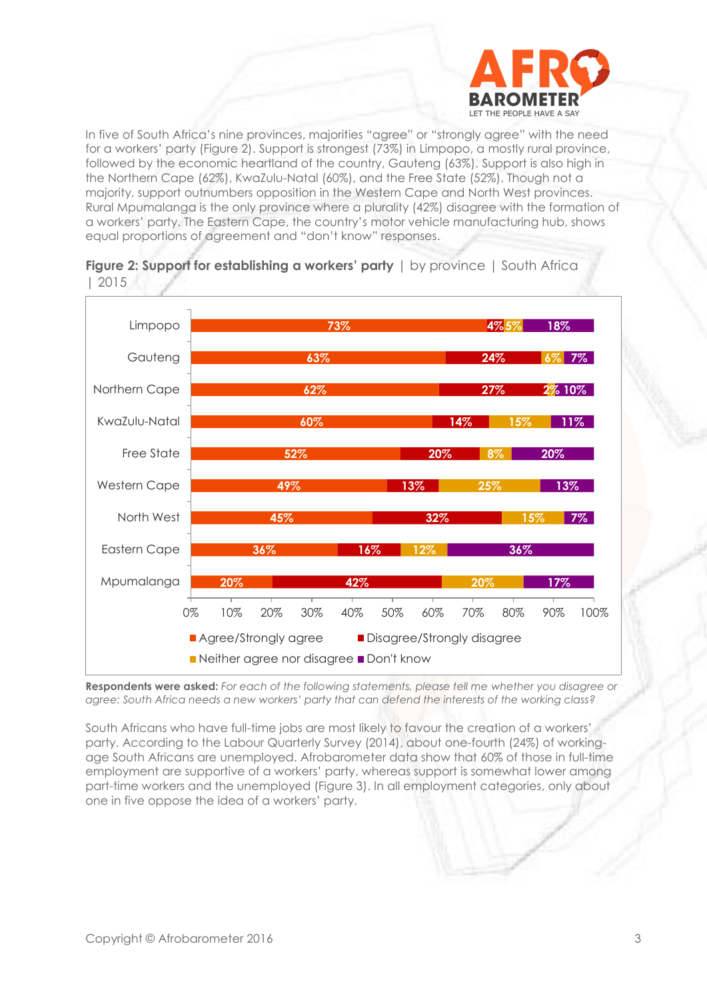

In five of South Africa's nine provinces, majorities "agree" or "strongly agree" with the need for a workers' party (Figure 2). Support is strongest (73%) in Limpopo, a mostly rural province, followed by the economic heartland of the country, Gauteng (63%). Support is also high in the Northern Cape (62%), KwaZulu-Natal (60%), and the Free State (52%). Though not a majority, support outnumbers opposition in the Western Cape and North West provinces. Rural Mpumalanga is the only province where a plurality (42%) disagree with the formation of a workers' party. The Eastern Cape, the country's motor vehicle manufacturing hub, shows equal proportions of agreement and "don't know" responses.





**Respondents were asked:** *For each of the following statements, please tell me whether you disagree or agree: South Africa needs a new workers' party that can defend the interests of the working class?*

South Africans who have full-time jobs are most likely to favour the creation of a workers' party. According to the Labour Quarterly Survey (2014), about one-fourth (24%) of workingage South Africans are unemployed. Afrobarometer data show that 60% of those in full-time employment are supportive of a workers' party, whereas support is somewhat lower among part-time workers and the unemployed (Figure 3). In all employment categories, only about one in five oppose the idea of a workers' party.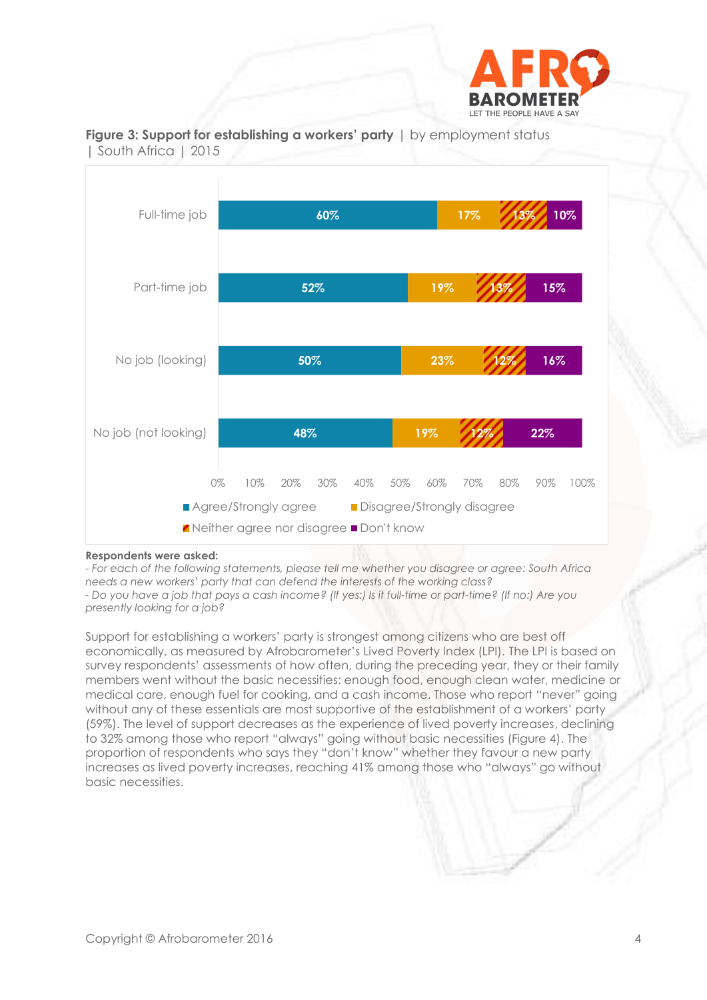



**Figure 3: Support for establishing a workers' party** | by employment status | South Africa | 2015

#### **Respondents were asked:**

- *For each of the following statements, please tell me whether you disagree or agree: South Africa needs a new workers' party that can defend the interests of the working class? - Do you have a job that pays a cash income? (If yes:) Is it full-time or part-time? (If no:) Are you presently looking for a job?*

Support for establishing a workers' party is strongest among citizens who are best off economically, as measured by Afrobarometer's Lived Poverty Index (LPI). The LPI is based on survey respondents' assessments of how often, during the preceding year, they or their family members went without the basic necessities: enough food, enough clean water, medicine or medical care, enough fuel for cooking, and a cash income. Those who report "never" going without any of these essentials are most supportive of the establishment of a workers' party (59%). The level of support decreases as the experience of lived poverty increases, declining to 32% among those who report "always" going without basic necessities (Figure 4). The proportion of respondents who says they "don't know" whether they favour a new party increases as lived poverty increases, reaching 41% among those who "always" go without basic necessities.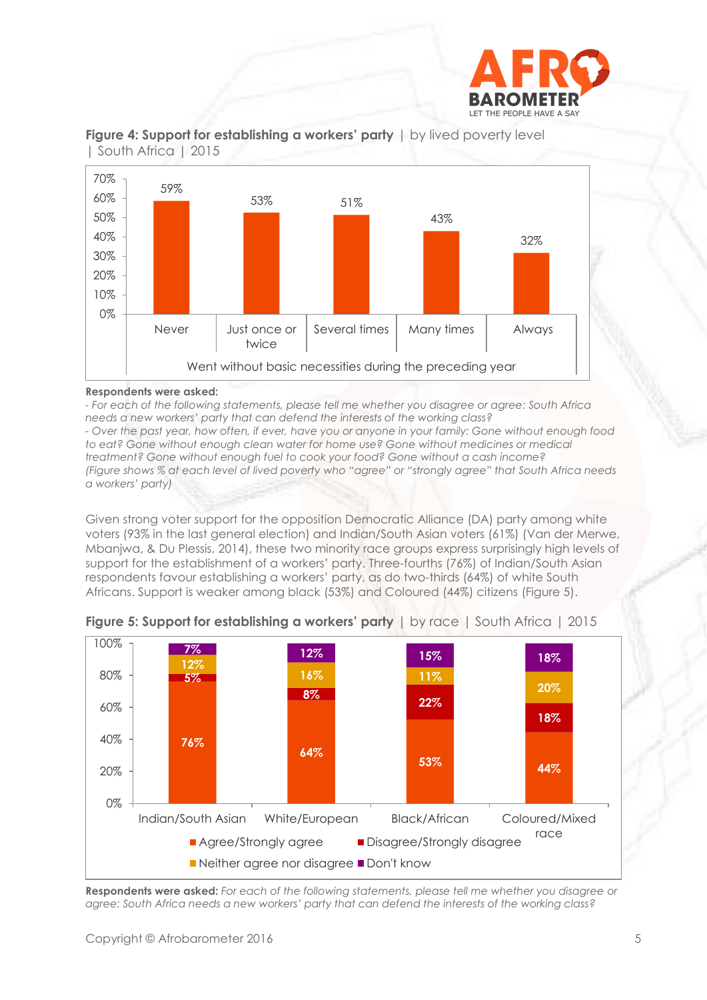





#### **Respondents were asked:**

*- For each of the following statements, please tell me whether you disagree or agree: South Africa needs a new workers' party that can defend the interests of the working class? - Over the past year, how often, if ever, have you or anyone in your family: Gone without enough food to eat? Gone without enough clean water for home use? Gone without medicines or medical treatment? Gone without enough fuel to cook your food? Gone without a cash income? (Figure shows % at each level of lived poverty who "agree" or "strongly agree" that South Africa needs a workers' party)*

Given strong voter support for the opposition Democratic Alliance (DA) party among white voters (93% in the last general election) and Indian/South Asian voters (61%) (Van der Merwe, Mbanjwa, & Du Plessis, 2014), these two minority race groups express surprisingly high levels of support for the establishment of a workers' party. Three-fourths (76%) of Indian/South Asian respondents favour establishing a workers' party, as do two-thirds (64%) of white South Africans. Support is weaker among black (53%) and Coloured (44%) citizens (Figure 5).



**Figure 5: Support for establishing a workers' party** | by race | South Africa | 2015

**Respondents were asked:** *For each of the following statements, please tell me whether you disagree or agree: South Africa needs a new workers' party that can defend the interests of the working class?*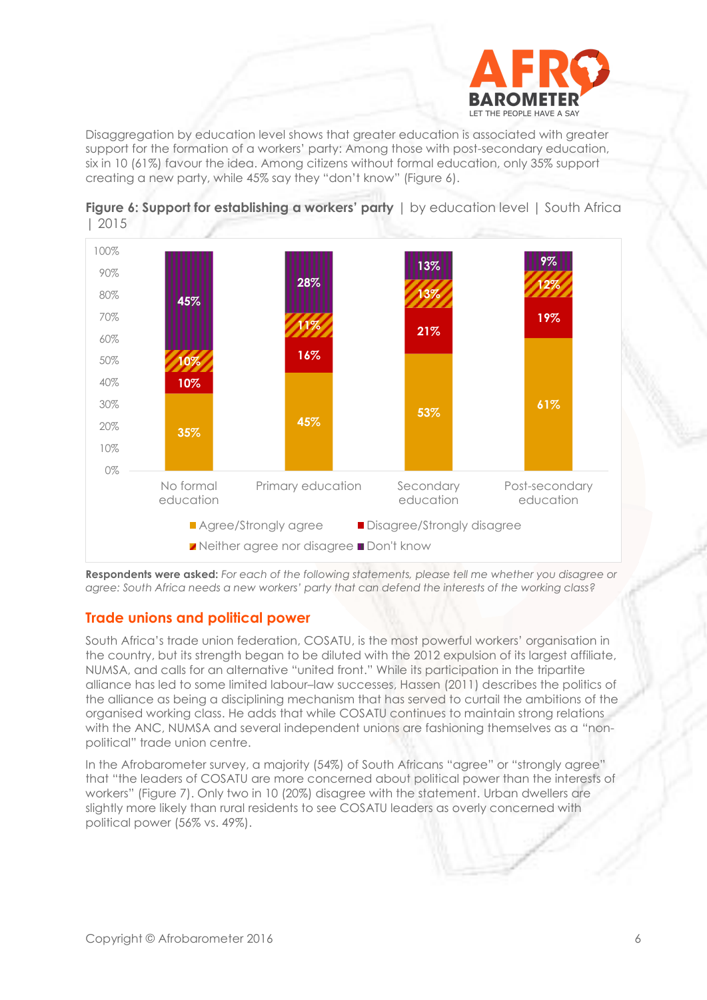

Disaggregation by education level shows that greater education is associated with greater support for the formation of a workers' party: Among those with post-secondary education, six in 10 (61%) favour the idea. Among citizens without formal education, only 35% support creating a new party, while 45% say they "don't know" (Figure 6).





**Respondents were asked:** *For each of the following statements, please tell me whether you disagree or agree: South Africa needs a new workers' party that can defend the interests of the working class?*

## **Trade unions and political power**

South Africa's trade union federation, COSATU, is the most powerful workers' organisation in the country, but its strength began to be diluted with the 2012 expulsion of its largest affiliate, NUMSA, and calls for an alternative "united front." While its participation in the tripartite alliance has led to some limited labour–law successes, Hassen (2011) describes the politics of the alliance as being a disciplining mechanism that has served to curtail the ambitions of the organised working class. He adds that while COSATU continues to maintain strong relations with the ANC, NUMSA and several independent unions are fashioning themselves as a "nonpolitical" trade union centre.

In the Afrobarometer survey, a majority (54%) of South Africans "agree" or "strongly agree" that "the leaders of COSATU are more concerned about political power than the interests of workers" (Figure 7). Only two in 10 (20%) disagree with the statement. Urban dwellers are slightly more likely than rural residents to see COSATU leaders as overly concerned with political power (56% vs. 49%).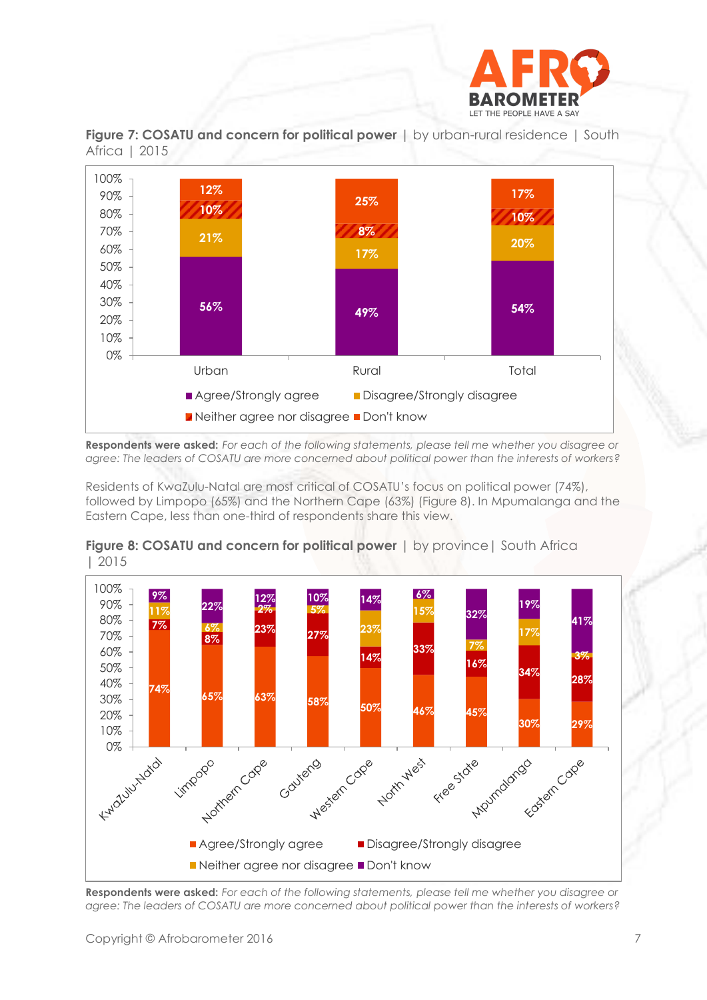





**Respondents were asked:** *For each of the following statements, please tell me whether you disagree or agree: The leaders of COSATU are more concerned about political power than the interests of workers?*

Residents of KwaZulu-Natal are most critical of COSATU's focus on political power (74%), followed by Limpopo (65%) and the Northern Cape (63%) (Figure 8). In Mpumalanga and the Eastern Cape, less than one-third of respondents share this view.



**Figure 8: COSATU and concern for political power** | by province| South Africa | 2015

**Respondents were asked:** *For each of the following statements, please tell me whether you disagree or agree: The leaders of COSATU are more concerned about political power than the interests of workers?*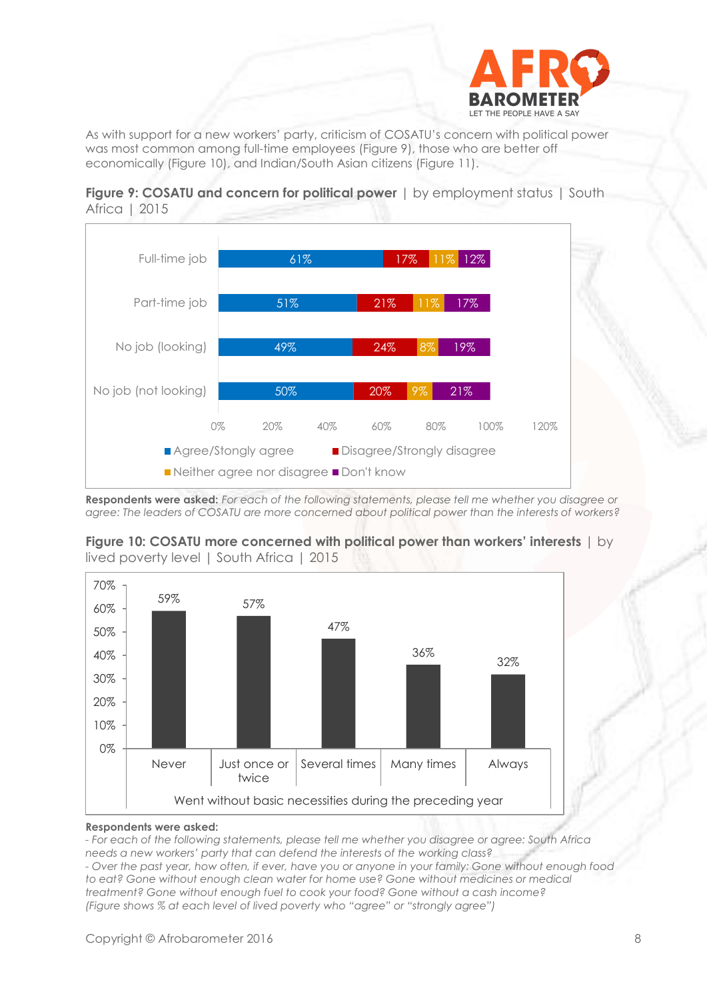

As with support for a new workers' party, criticism of COSATU's concern with political power was most common among full-time employees (Figure 9), those who are better off economically (Figure 10), and Indian/South Asian citizens (Figure 11).





**Respondents were asked:** *For each of the following statements, please tell me whether you disagree or agree: The leaders of COSATU are more concerned about political power than the interests of workers?*



**Figure 10: COSATU more concerned with political power than workers' interests** | by lived poverty level | South Africa | 2015

#### **Respondents were asked:**

*- For each of the following statements, please tell me whether you disagree or agree: South Africa needs a new workers' party that can defend the interests of the working class? - Over the past year, how often, if ever, have you or anyone in your family: Gone without enough food* 

*to eat? Gone without enough clean water for home use? Gone without medicines or medical treatment? Gone without enough fuel to cook your food? Gone without a cash income? (Figure shows % at each level of lived poverty who "agree" or "strongly agree")*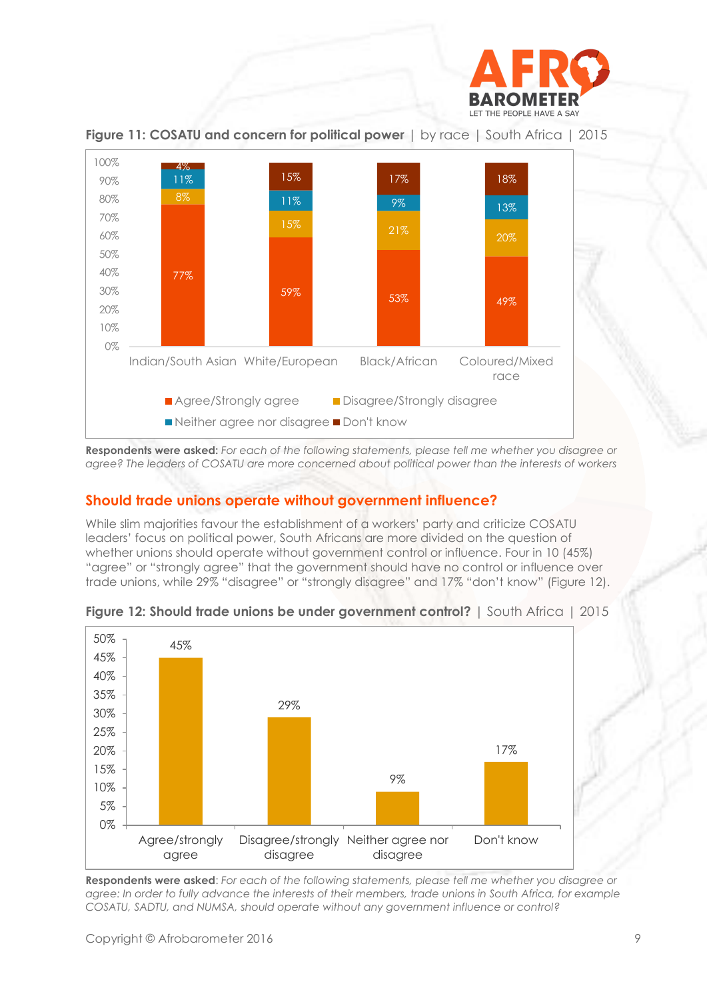



**Figure 11: COSATU and concern for political power** | by race | South Africa | 2015

**Respondents were asked:** *For each of the following statements, please tell me whether you disagree or agree? The leaders of COSATU are more concerned about political power than the interests of workers*

## **Should trade unions operate without government influence?**

While slim majorities favour the establishment of a workers' party and criticize COSATU leaders' focus on political power, South Africans are more divided on the question of whether unions should operate without government control or influence. Four in 10 (45%) "agree" or "strongly agree" that the government should have no control or influence over trade unions, while 29% "disagree" or "strongly disagree" and 17% "don't know" (Figure 12).





**Respondents were asked**: *For each of the following statements, please tell me whether you disagree or agree: In order to fully advance the interests of their members, trade unions in South Africa, for example COSATU, SADTU, and NUMSA, should operate without any government influence or control?*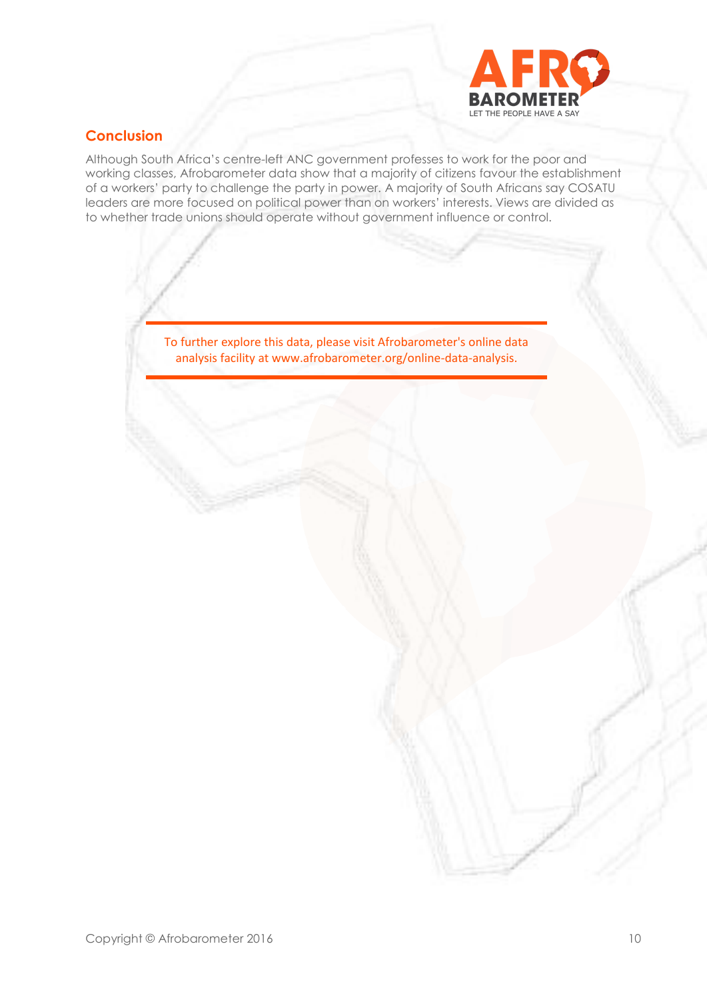

# **Conclusion**

Although South Africa's centre-left ANC government professes to work for the poor and working classes, Afrobarometer data show that a majority of citizens favour the establishment of a workers' party to challenge the party in power. A majority of South Africans say COSATU leaders are more focused on political power than on workers' interests. Views are divided as to whether trade unions should operate without government influence or control.

> To further explore this data, please visit Afrobarometer's online data analysis facility at www.afrobarometer.org/online-data-analysis.